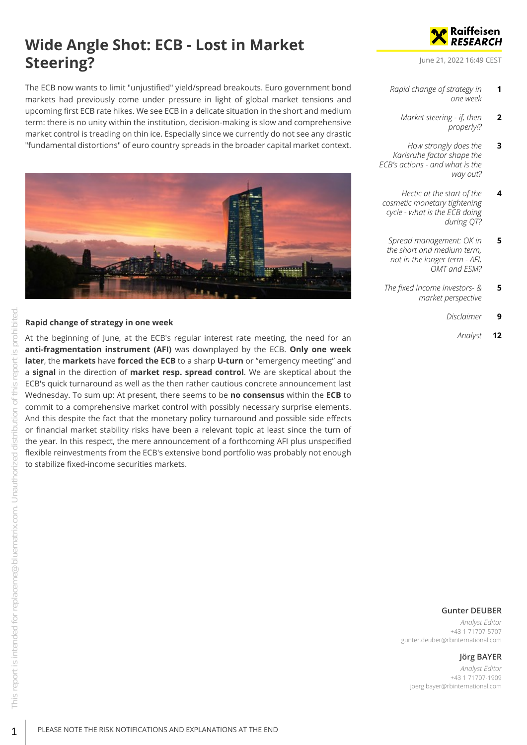# **Wide Angle Shot: ECB - Lost in Market Steering?**

The ECB now wants to limit "unjustified" yield/spread breakouts. Euro government bond markets had previously come under pressure in light of global market tensions and upcoming first ECB rate hikes. We see ECB in a delicate situation in the short and medium term: there is no unity within the institution, decision-making is slow and comprehensive market control is treading on thin ice. Especially since we currently do not see any drastic "fundamental distortions" of euro country spreads in the broader capital market context.



#### <span id="page-0-0"></span>**Rapid change of strategy in one week**

At the beginning of June, at the ECB's regular interest rate meeting, the need for an **anti-fragmentation instrument (AFI)** was downplayed by the ECB. **Only one week later**, the **markets** have **forced the ECB** to a sharp **U-turn** or "emergency meeting" and a **signal** in the direction of **market resp. spread control**. We are skeptical about the ECB's quick turnaround as well as the then rather cautious concrete announcement last Wednesday. To sum up: At present, there seems to be **no consensus** within the **ECB** to commit to a comprehensive market control with possibly necessary surprise elements. And this despite the fact that the monetary policy turnaround and possible side effects or financial market stability risks have been a relevant topic at least since the turn of the year. In this respect, the mere announcement of a forthcoming AFI plus unspecified flexible reinvestments from the ECB's extensive bond portfolio was probably not enough to stabilize fixed-income securities markets.



June 21, 2022 16:49 CEST

- *[Rapid change of strategy in](#page-0-0) [one week](#page-0-0)* **1**
	- *[Market steering if, then](#page-1-0) [properly!?](#page-1-0)* **2**
- *[How strongly does the](#page-2-0) [Karlsruhe factor shape the](#page-2-0) [ECB's actions - and what is the](#page-2-0) [way out?](#page-2-0)* **3**
- *[Hectic at the start of the](#page-3-0) [cosmetic monetary tightening](#page-3-0) [cycle - what is the ECB doing](#page-3-0) [during QT?](#page-3-0)* **4**
- *[Spread management: OK in](#page-4-0) [the short and medium term,](#page-4-0) [not in the longer term - AFI,](#page-4-0) [OMT and ESM?](#page-4-0)* **5**
- *[The fixed income investors- &](#page-4-1) [market perspective](#page-4-1)* **5**
	- *[Disclaimer](#page-8-0)* **9**
		- *[Analyst](#page-11-0)* **12**

#### **Gunter DEUBER**

*Analyst Editor* +43 1 71707-5707 gunter.deuber@rbinternational.com

# **Jörg BAYER**

*Analyst Editor* +43 1 71707-1909 joerg.bayer@rbinternational.com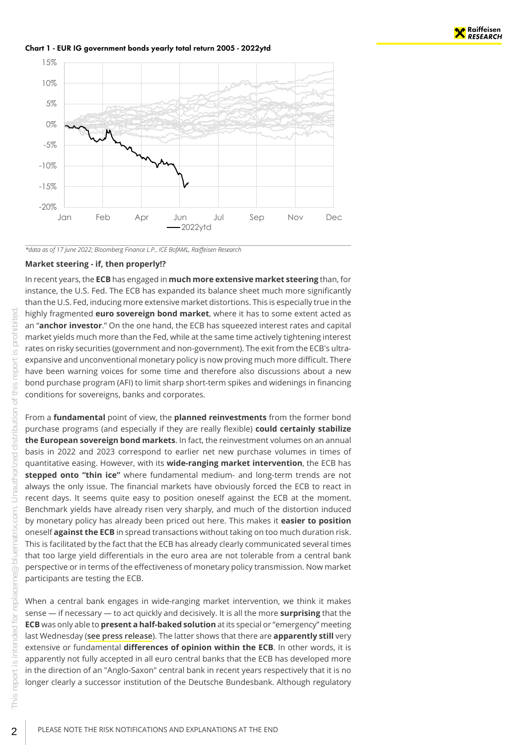

Chart 1 - EUR IG government bonds yearly total return 2005 - 2022ytd



*\*data as of 17 June 2022; Bloomberg Finance L.P., ICE BofAML, Raiffeisen Research*

#### <span id="page-1-0"></span>**Market steering - if, then properly!?**

In recent years, the **ECB** has engaged in **much more extensive market steering** than, for instance, the U.S. Fed. The ECB has expanded its balance sheet much more significantly than the U.S. Fed, inducing more extensive market distortions. This is especially true in the highly fragmented **euro sovereign bond market**, where it has to some extent acted as an "**anchor investor**." On the one hand, the ECB has squeezed interest rates and capital market yields much more than the Fed, while at the same time actively tightening interest rates on risky securities (government and non-government). The exit from the ECB's ultraexpansive and unconventional monetary policy is now proving much more difficult. There have been warning voices for some time and therefore also discussions about a new bond purchase program (AFI) to limit sharp short-term spikes and widenings in financing conditions for sovereigns, banks and corporates.

From a **fundamental** point of view, the **planned reinvestments** from the former bond purchase programs (and especially if they are really flexible) **could certainly stabilize the European sovereign bond markets**. In fact, the reinvestment volumes on an annual basis in 2022 and 2023 correspond to earlier net new purchase volumes in times of quantitative easing. However, with its **wide-ranging market intervention**, the ECB has **stepped onto "thin ice"** where fundamental medium- and long-term trends are not always the only issue. The financial markets have obviously forced the ECB to react in recent days. It seems quite easy to position oneself against the ECB at the moment. Benchmark yields have already risen very sharply, and much of the distortion induced by monetary policy has already been priced out here. This makes it **easier to position** oneself **against the ECB** in spread transactions without taking on too much duration risk. This is facilitated by the fact that the ECB has already clearly communicated several times that too large yield differentials in the euro area are not tolerable from a central bank perspective or in terms of the effectiveness of monetary policy transmission. Now market participants are testing the ECB.

When a central bank engages in wide-ranging market intervention, we think it makes sense — if necessary — to act quickly and decisively. It is all the more **surprising** that the **ECB** was only able to **present a half-baked solution** at its special or "emergency" meeting last Wednesday (**[see press release](https://www.ecb.europa.eu/press/pr/date/2022/html/ecb.pr220615~2aa3900e0a.en.html)**). The latter shows that there are **apparently still** very extensive or fundamental **differences of opinion within the ECB**. In other words, it is apparently not fully accepted in all euro central banks that the ECB has developed more in the direction of an "Anglo-Saxon" central bank in recent years respectively that it is no longer clearly a successor institution of the Deutsche Bundesbank. Although regulatory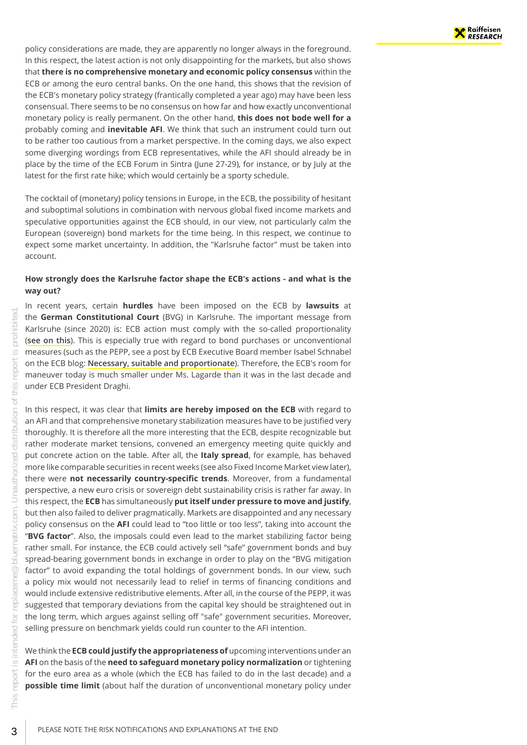policy considerations are made, they are apparently no longer always in the foreground. In this respect, the latest action is not only disappointing for the markets, but also shows that **there is no comprehensive monetary and economic policy consensus** within the ECB or among the euro central banks. On the one hand, this shows that the revision of the ECB's monetary policy strategy (frantically completed a year ago) may have been less consensual. There seems to be no consensus on how far and how exactly unconventional monetary policy is really permanent. On the other hand, **this does not bode well for a** probably coming and **inevitable AFI**. We think that such an instrument could turn out to be rather too cautious from a market perspective. In the coming days, we also expect some diverging wordings from ECB representatives, while the AFI should already be in place by the time of the ECB Forum in Sintra (June 27-29), for instance, or by July at the latest for the first rate hike; which would certainly be a sporty schedule.

The cocktail of (monetary) policy tensions in Europe, in the ECB, the possibility of hesitant and suboptimal solutions in combination with nervous global fixed income markets and speculative opportunities against the ECB should, in our view, not particularly calm the European (sovereign) bond markets for the time being. In this respect, we continue to expect some market uncertainty. In addition, the "Karlsruhe factor" must be taken into account.

#### <span id="page-2-0"></span>**How strongly does the Karlsruhe factor shape the ECB's actions - and what is the way out?**

In recent years, certain **hurdles** have been imposed on the ECB by **lawsuits** at the **German Constitutional Court** (BVG) in Karlsruhe. The important message from Karlsruhe (since 2020) is: ECB action must comply with the so-called proportionality (**[see on this](https://www.bundesverfassungsgericht.de/SharedDocs/Pressemitteilungen/EN/2020/bvg20-032.html)**). This is especially true with regard to bond purchases or unconventional measures (such as the PEPP, see a post by ECB Executive Board member Isabel Schnabel on the ECB blog: **[Necessary, suitable and proportionate](https://www.ecb.europa.eu/press/blog/date/2020/html/ecb.blog200628~d238a8970c.en.html)**). Therefore, the ECB's room for maneuver today is much smaller under Ms. Lagarde than it was in the last decade and under ECB President Draghi.

In this respect, it was clear that **limits are hereby imposed on the ECB** with regard to an AFI and that comprehensive monetary stabilization measures have to be justified very thoroughly. It is therefore all the more interesting that the ECB, despite recognizable but rather moderate market tensions, convened an emergency meeting quite quickly and put concrete action on the table. After all, the **Italy spread**, for example, has behaved more like comparable securities in recent weeks (see also Fixed Income Market view later), there were **not necessarily country-specific trends**. Moreover, from a fundamental perspective, a new euro crisis or sovereign debt sustainability crisis is rather far away. In this respect, the **ECB** has simultaneously **put itself under pressure to move and justify**, but then also failed to deliver pragmatically. Markets are disappointed and any necessary policy consensus on the **AFI** could lead to "too little or too less", taking into account the "**BVG factor**". Also, the imposals could even lead to the market stabilizing factor being rather small. For instance, the ECB could actively sell "safe" government bonds and buy spread-bearing government bonds in exchange in order to play on the "BVG mitigation factor" to avoid expanding the total holdings of government bonds. In our view, such a policy mix would not necessarily lead to relief in terms of financing conditions and would include extensive redistributive elements. After all, in the course of the PEPP, it was suggested that temporary deviations from the capital key should be straightened out in the long term, which argues against selling off "safe" government securities. Moreover, selling pressure on benchmark yields could run counter to the AFI intention.

We think the **ECB could justify the appropriateness of** upcoming interventions under an **AFI** on the basis of the **need to safeguard monetary policy normalization** or tightening for the euro area as a whole (which the ECB has failed to do in the last decade) and a **possible time limit** (about half the duration of unconventional monetary policy under

 $\bigcirc$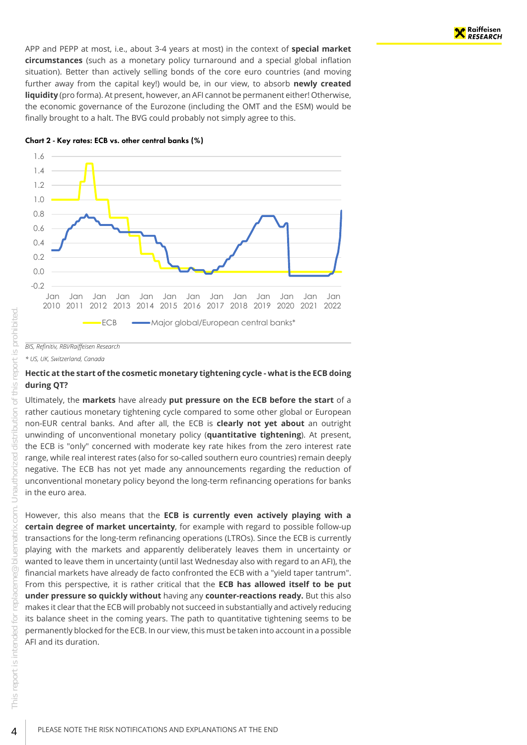APP and PEPP at most, i.e., about 3-4 years at most) in the context of **special market circumstances** (such as a monetary policy turnaround and a special global inflation situation). Better than actively selling bonds of the core euro countries (and moving further away from the capital key!) would be, in our view, to absorb **newly created liquidity** (pro forma). At present, however, an AFI cannot be permanent either! Otherwise, the economic governance of the Eurozone (including the OMT and the ESM) would be finally brought to a halt. The BVG could probably not simply agree to this.





#### *BIS, Refinitiv, RBI/Raiffeisen Research*

*\* US, UK, Switzerland, Canada*

#### <span id="page-3-0"></span>**Hectic at the start of the cosmetic monetary tightening cycle - what is the ECB doing during QT?**

Ultimately, the **markets** have already **put pressure on the ECB before the start** of a rather cautious monetary tightening cycle compared to some other global or European non-EUR central banks. And after all, the ECB is **clearly not yet about** an outright unwinding of unconventional monetary policy (**quantitative tightening**). At present, the ECB is "only" concerned with moderate key rate hikes from the zero interest rate range, while real interest rates (also for so-called southern euro countries) remain deeply negative. The ECB has not yet made any announcements regarding the reduction of unconventional monetary policy beyond the long-term refinancing operations for banks in the euro area.

However, this also means that the **ECB is currently even actively playing with a certain degree of market uncertainty**, for example with regard to possible follow-up transactions for the long-term refinancing operations (LTROs). Since the ECB is currently playing with the markets and apparently deliberately leaves them in uncertainty or wanted to leave them in uncertainty (until last Wednesday also with regard to an AFI), the financial markets have already de facto confronted the ECB with a "yield taper tantrum". From this perspective, it is rather critical that the **ECB has allowed itself to be put under pressure so quickly without** having any **counter-reactions ready.** But this also makes it clear that the ECB will probably not succeed in substantially and actively reducing its balance sheet in the coming years. The path to quantitative tightening seems to be permanently blocked for the ECB. In our view, this must be taken into account in a possible AFI and its duration.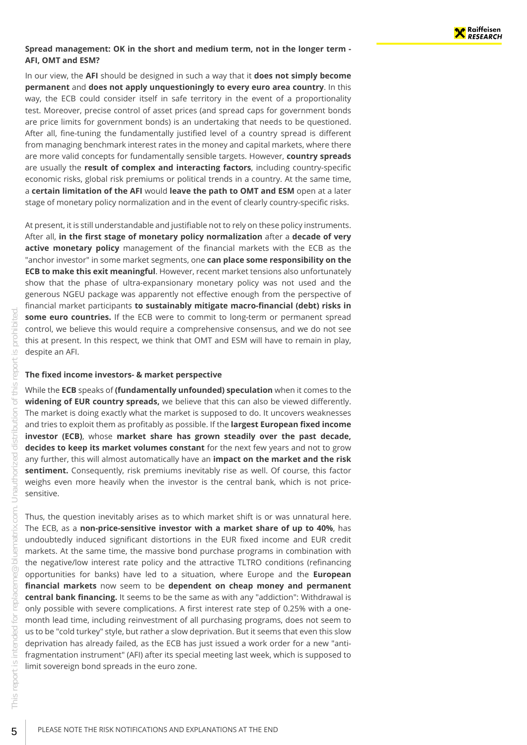#### <span id="page-4-0"></span>**Spread management: OK in the short and medium term, not in the longer term - AFI, OMT and ESM?**

In our view, the **AFI** should be designed in such a way that it **does not simply become permanent** and **does not apply unquestioningly to every euro area country**. In this way, the ECB could consider itself in safe territory in the event of a proportionality test. Moreover, precise control of asset prices (and spread caps for government bonds are price limits for government bonds) is an undertaking that needs to be questioned. After all, fine-tuning the fundamentally justified level of a country spread is different from managing benchmark interest rates in the money and capital markets, where there are more valid concepts for fundamentally sensible targets. However, **country spreads** are usually the **result of complex and interacting factors**, including country-specific economic risks, global risk premiums or political trends in a country. At the same time, a **certain limitation of the AFI** would **leave the path to OMT and ESM** open at a later stage of monetary policy normalization and in the event of clearly country-specific risks.

At present, it is still understandable and justifiable not to rely on these policy instruments. After all, **in the first stage of monetary policy normalization** after a **decade of very active monetary policy** management of the financial markets with the ECB as the "anchor investor" in some market segments, one **can place some responsibility on the ECB to make this exit meaningful**. However, recent market tensions also unfortunately show that the phase of ultra-expansionary monetary policy was not used and the generous NGEU package was apparently not effective enough from the perspective of financial market participants **to sustainably mitigate macro-financial (debt) risks in some euro countries.** If the ECB were to commit to long-term or permanent spread control, we believe this would require a comprehensive consensus, and we do not see this at present. In this respect, we think that OMT and ESM will have to remain in play, despite an AFI.

#### <span id="page-4-1"></span>**The fixed income investors- & market perspective**

While the **ECB** speaks of **(fundamentally unfounded) speculation** when it comes to the **widening of EUR country spreads,** we believe that this can also be viewed differently. The market is doing exactly what the market is supposed to do. It uncovers weaknesses and tries to exploit them as profitably as possible. If the **largest European fixed income investor (ECB)**, whose **market share has grown steadily over the past decade, decides to keep its market volumes constant** for the next few years and not to grow any further, this will almost automatically have an **impact on the market and the risk sentiment.** Consequently, risk premiums inevitably rise as well. Of course, this factor weighs even more heavily when the investor is the central bank, which is not pricesensitive.

Thus, the question inevitably arises as to which market shift is or was unnatural here. The ECB, as a **non-price-sensitive investor with a market share of up to 40%**, has undoubtedly induced significant distortions in the EUR fixed income and EUR credit markets. At the same time, the massive bond purchase programs in combination with the negative/low interest rate policy and the attractive TLTRO conditions (refinancing opportunities for banks) have led to a situation, where Europe and the **European financial markets** now seem to be **dependent on cheap money and permanent central bank financing.** It seems to be the same as with any "addiction": Withdrawal is only possible with severe complications. A first interest rate step of 0.25% with a onemonth lead time, including reinvestment of all purchasing programs, does not seem to us to be "cold turkey" style, but rather a slow deprivation. But it seems that even this slow deprivation has already failed, as the ECB has just issued a work order for a new "antifragmentation instrument" (AFI) after its special meeting last week, which is supposed to limit sovereign bond spreads in the euro zone.

 $\bigcirc$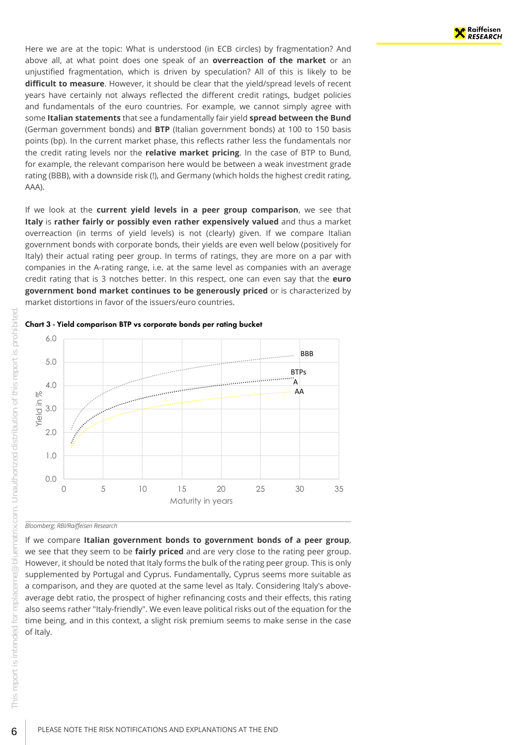Here we are at the topic: What is understood (in ECB circles) by fragmentation? And above all, at what point does one speak of an **overreaction of the market** or an unjustified fragmentation, which is driven by speculation? All of this is likely to be **difficult to measure**. However, it should be clear that the yield/spread levels of recent years have certainly not always reflected the different credit ratings, budget policies and fundamentals of the euro countries. For example, we cannot simply agree with some **Italian statements** that see a fundamentally fair yield **spread between the Bund** (German government bonds) and **BTP** (Italian government bonds) at 100 to 150 basis points (bp). In the current market phase, this reflects rather less the fundamentals nor the credit rating levels nor the **relative market pricing**. In the case of BTP to Bund, for example, the relevant comparison here would be between a weak investment grade rating (BBB), with a downside risk (!), and Germany (which holds the highest credit rating, AAA).

If we look at the **current yield levels in a peer group comparison**, we see that **Italy** is **rather fairly or possibly even rather expensively valued** and thus a market overreaction (in terms of yield levels) is not (clearly) given. If we compare Italian government bonds with corporate bonds, their yields are even well below (positively for Italy) their actual rating peer group. In terms of ratings, they are more on a par with companies in the A-rating range, i.e. at the same level as companies with an average credit rating that is 3 notches better. In this respect, one can even say that the **euro government bond market continues to be generously priced** or is characterized by market distortions in favor of the issuers/euro countries.





*Bloomberg; RBI/Raiffeisen Research*

If we compare **Italian government bonds to government bonds of a peer group**, we see that they seem to be **fairly priced** and are very close to the rating peer group. However, it should be noted that Italy forms the bulk of the rating peer group. This is only supplemented by Portugal and Cyprus. Fundamentally, Cyprus seems more suitable as a comparison, and they are quoted at the same level as Italy. Considering Italy's aboveaverage debt ratio, the prospect of higher refinancing costs and their effects, this rating also seems rather "Italy-friendly". We even leave political risks out of the equation for the time being, and in this context, a slight risk premium seems to make sense in the case of Italy.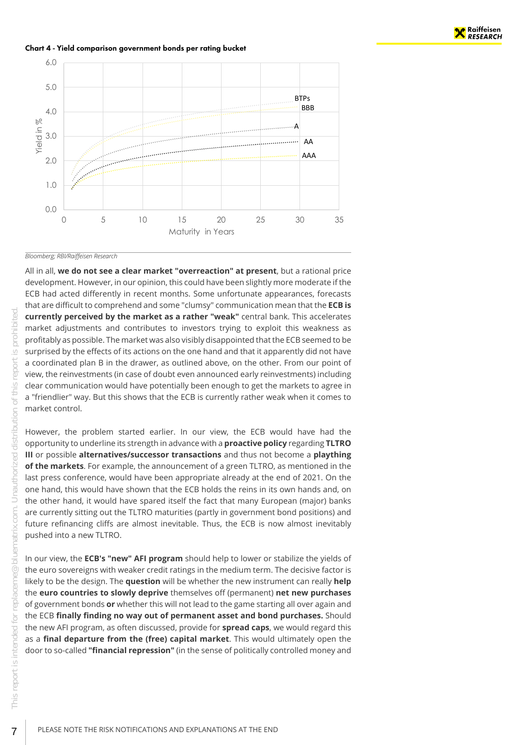

Chart 4 - Yield comparison government bonds per rating bucket



#### *Bloomberg; RBI/Raiffeisen Research*

All in all, **we do not see a clear market "overreaction" at present**, but a rational price development. However, in our opinion, this could have been slightly more moderate if the ECB had acted differently in recent months. Some unfortunate appearances, forecasts that are difficult to comprehend and some "clumsy" communication mean that the **ECB is currently perceived by the market as a rather "weak"** central bank. This accelerates market adjustments and contributes to investors trying to exploit this weakness as profitably as possible. The market was also visibly disappointed that the ECB seemed to be surprised by the effects of its actions on the one hand and that it apparently did not have a coordinated plan B in the drawer, as outlined above, on the other. From our point of view, the reinvestments (in case of doubt even announced early reinvestments) including clear communication would have potentially been enough to get the markets to agree in a "friendlier" way. But this shows that the ECB is currently rather weak when it comes to market control.

However, the problem started earlier. In our view, the ECB would have had the opportunity to underline its strength in advance with a **proactive policy** regarding **TLTRO III** or possible **alternatives/successor transactions** and thus not become a **plaything of the markets**. For example, the announcement of a green TLTRO, as mentioned in the last press conference, would have been appropriate already at the end of 2021. On the one hand, this would have shown that the ECB holds the reins in its own hands and, on the other hand, it would have spared itself the fact that many European (major) banks are currently sitting out the TLTRO maturities (partly in government bond positions) and future refinancing cliffs are almost inevitable. Thus, the ECB is now almost inevitably pushed into a new TLTRO.

In our view, the **ECB's "new" AFI program** should help to lower or stabilize the yields of the euro sovereigns with weaker credit ratings in the medium term. The decisive factor is likely to be the design. The **question** will be whether the new instrument can really **help** the **euro countries to slowly deprive** themselves off (permanent) **net new purchases** of government bonds **or** whether this will not lead to the game starting all over again and the ECB **finally finding no way out of permanent asset and bond purchases.** Should the new AFI program, as often discussed, provide for **spread caps**, we would regard this as a **final departure from the (free) capital market**. This would ultimately open the door to so-called **"financial repression"** (in the sense of politically controlled money and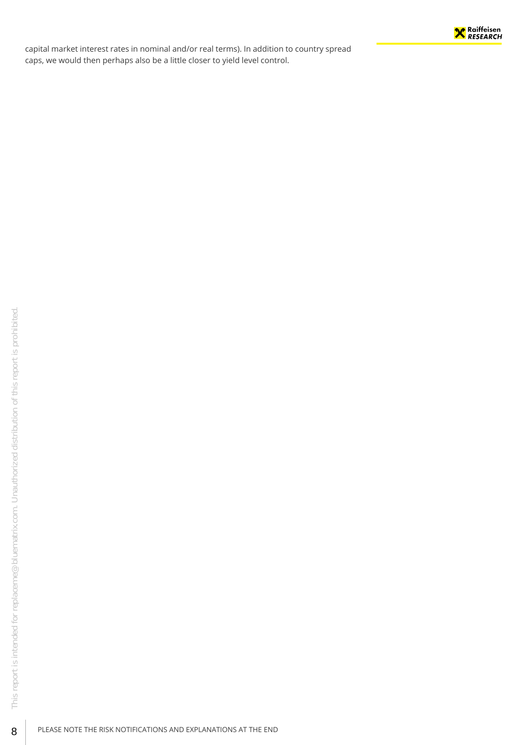

capital market interest rates in nominal and/or real terms). In addition to country spread caps, we would then perhaps also be a little closer to yield level control.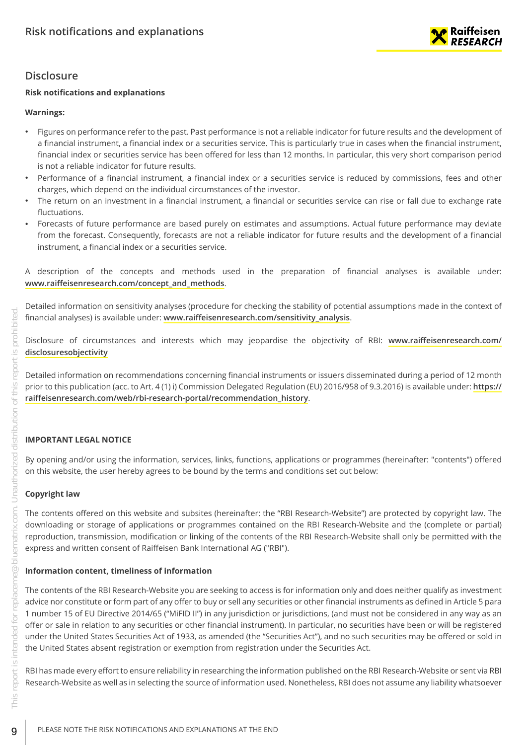

# <span id="page-8-0"></span>**Disclosure**

# **Risk notifications and explanations**

# **Warnings:**

- Figures on performance refer to the past. Past performance is not a reliable indicator for future results and the development of a financial instrument, a financial index or a securities service. This is particularly true in cases when the financial instrument, financial index or securities service has been offered for less than 12 months. In particular, this very short comparison period is not a reliable indicator for future results.
- Performance of a financial instrument, a financial index or a securities service is reduced by commissions, fees and other charges, which depend on the individual circumstances of the investor.
- The return on an investment in a financial instrument, a financial or securities service can rise or fall due to exchange rate fluctuations.
- Forecasts of future performance are based purely on estimates and assumptions. Actual future performance may deviate from the forecast. Consequently, forecasts are not a reliable indicator for future results and the development of a financial instrument, a financial index or a securities service.
- A description of the concepts and methods used in the preparation of financial analyses is available under: **[www.raiffeisenresearch.com/concept\\_and\\_methods](https://www.raiffeisenresearch.com/concept_and_methods)**.

Detailed information on sensitivity analyses (procedure for checking the stability of potential assumptions made in the context of financial analyses) is available under: **[www.raiffeisenresearch.com/sensitivity\\_analysis](https://www.raiffeisenresearch.com/sensitivity_analysis)**.

Disclosure of circumstances and interests which may jeopardise the objectivity of RBI: **[www.raiffeisenresearch.com/](https://www.raiffeisenresearch.com/disclosuresobjectivity) [disclosuresobjectivity](https://www.raiffeisenresearch.com/disclosuresobjectivity)**

Detailed information on recommendations concerning financial instruments or issuers disseminated during a period of 12 month prior to this publication (acc. to Art. 4 (1) i) Commission Delegated Regulation (EU) 2016/958 of 9.3.2016) is available under: **[https://](https://raiffeisenresearch.com/web/rbi-research-portal/recommendation_history) [raiffeisenresearch.com/web/rbi-research-portal/recommendation\\_history](https://raiffeisenresearch.com/web/rbi-research-portal/recommendation_history)**.

# **IMPORTANT LEGAL NOTICE**

By opening and/or using the information, services, links, functions, applications or programmes (hereinafter: "contents") offered on this website, the user hereby agrees to be bound by the terms and conditions set out below:

# **Copyright law**

The contents offered on this website and subsites (hereinafter: the "RBI Research-Website") are protected by copyright law. The downloading or storage of applications or programmes contained on the RBI Research-Website and the (complete or partial) reproduction, transmission, modification or linking of the contents of the RBI Research-Website shall only be permitted with the express and written consent of Raiffeisen Bank International AG ("RBI").

# **Information content, timeliness of information**

The contents of the RBI Research-Website you are seeking to access is for information only and does neither qualify as investment advice nor constitute or form part of any offer to buy or sell any securities or other financial instruments as defined in Article 5 para 1 number 15 of EU Directive 2014/65 ("MiFID II") in any jurisdiction or jurisdictions, (and must not be considered in any way as an offer or sale in relation to any securities or other financial instrument). In particular, no securities have been or will be registered under the United States Securities Act of 1933, as amended (the "Securities Act"), and no such securities may be offered or sold in the United States absent registration or exemption from registration under the Securities Act.

RBI has made every effort to ensure reliability in researching the information published on the RBI Research-Website or sent via RBI Research-Website as well as in selecting the source of information used. Nonetheless, RBI does not assume any liability whatsoever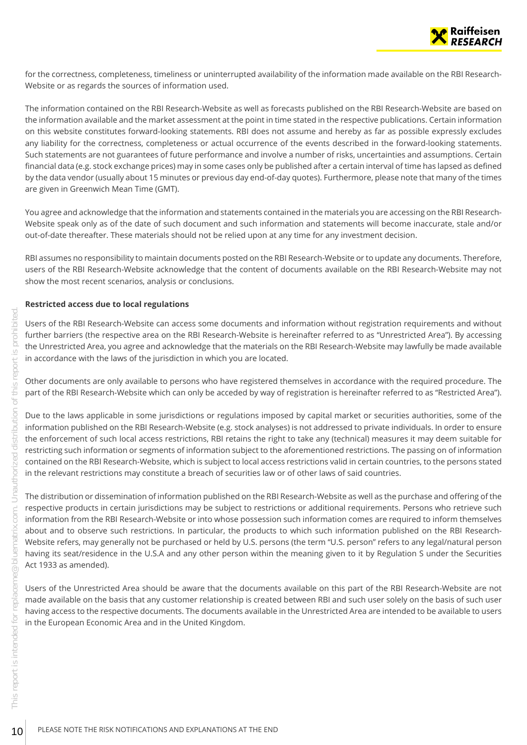

for the correctness, completeness, timeliness or uninterrupted availability of the information made available on the RBI Research-Website or as regards the sources of information used.

The information contained on the RBI Research-Website as well as forecasts published on the RBI Research-Website are based on the information available and the market assessment at the point in time stated in the respective publications. Certain information on this website constitutes forward-looking statements. RBI does not assume and hereby as far as possible expressly excludes any liability for the correctness, completeness or actual occurrence of the events described in the forward-looking statements. Such statements are not guarantees of future performance and involve a number of risks, uncertainties and assumptions. Certain financial data (e.g. stock exchange prices) may in some cases only be published after a certain interval of time has lapsed as defined by the data vendor (usually about 15 minutes or previous day end-of-day quotes). Furthermore, please note that many of the times are given in Greenwich Mean Time (GMT).

You agree and acknowledge that the information and statements contained in the materials you are accessing on the RBI Research-Website speak only as of the date of such document and such information and statements will become inaccurate, stale and/or out-of-date thereafter. These materials should not be relied upon at any time for any investment decision.

RBI assumes no responsibility to maintain documents posted on the RBI Research-Website or to update any documents. Therefore, users of the RBI Research-Website acknowledge that the content of documents available on the RBI Research-Website may not show the most recent scenarios, analysis or conclusions.

#### **Restricted access due to local regulations**

Users of the RBI Research-Website can access some documents and information without registration requirements and without further barriers (the respective area on the RBI Research-Website is hereinafter referred to as "Unrestricted Area"). By accessing the Unrestricted Area, you agree and acknowledge that the materials on the RBI Research-Website may lawfully be made available in accordance with the laws of the jurisdiction in which you are located.

Other documents are only available to persons who have registered themselves in accordance with the required procedure. The part of the RBI Research-Website which can only be acceded by way of registration is hereinafter referred to as "Restricted Area").

Due to the laws applicable in some jurisdictions or regulations imposed by capital market or securities authorities, some of the information published on the RBI Research-Website (e.g. stock analyses) is not addressed to private individuals. In order to ensure the enforcement of such local access restrictions, RBI retains the right to take any (technical) measures it may deem suitable for restricting such information or segments of information subject to the aforementioned restrictions. The passing on of information contained on the RBI Research-Website, which is subject to local access restrictions valid in certain countries, to the persons stated in the relevant restrictions may constitute a breach of securities law or of other laws of said countries.

The distribution or dissemination of information published on the RBI Research-Website as well as the purchase and offering of the respective products in certain jurisdictions may be subject to restrictions or additional requirements. Persons who retrieve such information from the RBI Research-Website or into whose possession such information comes are required to inform themselves about and to observe such restrictions. In particular, the products to which such information published on the RBI Research-Website refers, may generally not be purchased or held by U.S. persons (the term "U.S. person" refers to any legal/natural person having its seat/residence in the U.S.A and any other person within the meaning given to it by Regulation S under the Securities Act 1933 as amended). The United Matter of the RBI Research-Website can access some documents and<br>
Each the Interstricted Area, you agree and acknowledge that the materials<br>
Each the Unrestricted Area, you agree and acknowledge that the materi

Users of the Unrestricted Area should be aware that the documents available on this part of the RBI Research-Website are not made available on the basis that any customer relationship is created between RBI and such user solely on the basis of such user having access to the respective documents. The documents available in the Unrestricted Area are intended to be available to users in the European Economic Area and in the United Kingdom.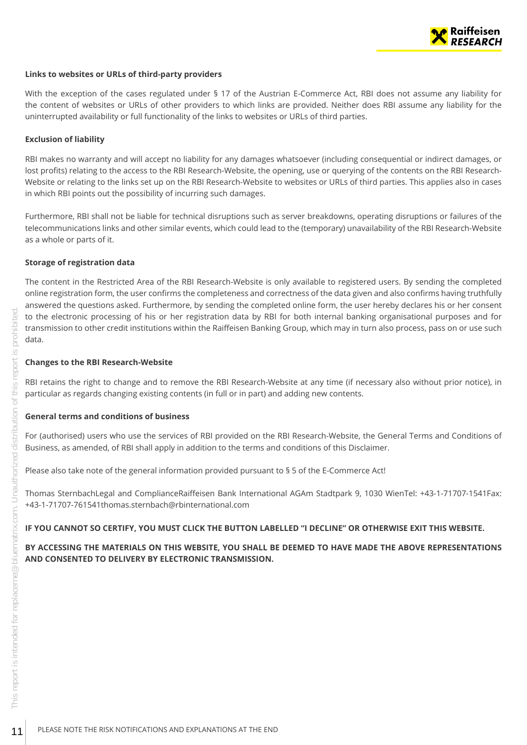

#### **Links to websites or URLs of third-party providers**

With the exception of the cases regulated under § 17 of the Austrian E-Commerce Act, RBI does not assume any liability for the content of websites or URLs of other providers to which links are provided. Neither does RBI assume any liability for the uninterrupted availability or full functionality of the links to websites or URLs of third parties.

#### **Exclusion of liability**

RBI makes no warranty and will accept no liability for any damages whatsoever (including consequential or indirect damages, or lost profits) relating to the access to the RBI Research-Website, the opening, use or querying of the contents on the RBI Research-Website or relating to the links set up on the RBI Research-Website to websites or URLs of third parties. This applies also in cases in which RBI points out the possibility of incurring such damages.

Furthermore, RBI shall not be liable for technical disruptions such as server breakdowns, operating disruptions or failures of the telecommunications links and other similar events, which could lead to the (temporary) unavailability of the RBI Research-Website as a whole or parts of it.

#### **Storage of registration data**

The content in the Restricted Area of the RBI Research-Website is only available to registered users. By sending the completed online registration form, the user confirms the completeness and correctness of the data given and also confirms having truthfully answered the questions asked. Furthermore, by sending the completed online form, the user hereby declares his or her consent to the electronic processing of his or her registration data by RBI for both internal banking organisational purposes and for transmission to other credit institutions within the Raiffeisen Banking Group, which may in turn also process, pass on or use such data. The motion of the electronic processing of his or her registration data by RBI<br>Extensions to other credit institutions within the Raiffeisen Banking<br>Changes to the RBI Research-Website<br>Connects are right to change and to r

#### **Changes to the RBI Research-Website**

RBI retains the right to change and to remove the RBI Research-Website at any time (if necessary also without prior notice), in particular as regards changing existing contents (in full or in part) and adding new contents.

#### **General terms and conditions of business**

For (authorised) users who use the services of RBI provided on the RBI Research-Website, the General Terms and Conditions of Business, as amended, of RBI shall apply in addition to the terms and conditions of this Disclaimer.

Please also take note of the general information provided pursuant to § 5 of the E-Commerce Act!

Thomas SternbachLegal and ComplianceRaiffeisen Bank International AGAm Stadtpark 9, 1030 WienTel: +43-1-71707-1541Fax: +43-1-71707-761541thomas.sternbach@rbinternational.com

#### **IF YOU CANNOT SO CERTIFY, YOU MUST CLICK THE BUTTON LABELLED "I DECLINE" OR OTHERWISE EXIT THIS WEBSITE.**

**BY ACCESSING THE MATERIALS ON THIS WEBSITE, YOU SHALL BE DEEMED TO HAVE MADE THE ABOVE REPRESENTATIONS AND CONSENTED TO DELIVERY BY ELECTRONIC TRANSMISSION.**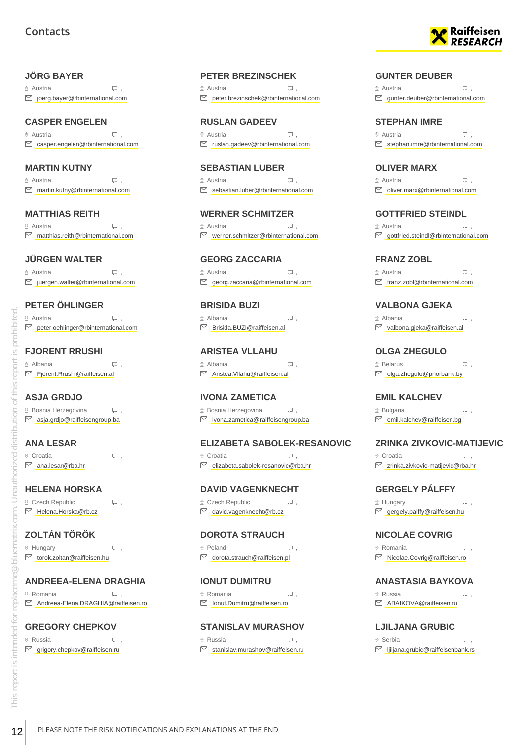# **Contacts**

#### <span id="page-11-0"></span>**JÖRG BAYER**

 Austria ,  $\Box$  ioerg.bayer@rbinternational.com

# **CASPER ENGELEN**

 $\circ$  Austria  $\Box$ casper.engelen@rbinternational.com

#### **MARTIN KUTNY**

 $\circ$  Austria  $\Box$ martin.kutny@rbinternational.com

# **MATTHIAS REITH**

 $\circ$  Austria  $\Box$ . matthias.reith@rbinternational.com

#### **JÜRGEN WALTER**

 $\heartsuit$  Austria  $\heartsuit$ ,  $\Box$  juergen.walter@rbinternational.com

# **PETER ÖHLINGER**

 $\circ$  Austria  $\Box$ . ■ peter.oehlinger@rbinternational.com

# **FJORENT RRUSHI**

 Albania , Fjorent.Rrushi@raiffeisen.al

# **ASJA GRDJO**

 $\Omega$  Bosnia Herzegovina  $\Box$ , asja.grdjo@raiffeisengroup.ba

# **ANA LESAR**

 $\circ$  Croatia  $\qquad \qquad \Box$ ,  $\nabla$  ana lesar@rha.hr

**HELENA HORSKA** © Czech Republic 
□

 $\mathcal{Q}$  Hungary  $\qquad \qquad \Box$ torok.zoltan@raiffeisen.hu

# **ANDREEA-ELENA DRAGHIA**

 $\Omega$  Romania ,  $\Box$ Andreea-Elena.DRAGHIA@raiffeisen.ro

# **GREGORY CHEPKOV**

® Russia (D). grigory.chepkov@raiffeisen.ru

#### **PETER BREZINSCHEK**

 Austria ,  $\Box$  peter.brezinschek@rbinternational.com

**RUSLAN GADEEV**  $\circ$  Austria  $\Box$ ruslan.gadeev@rbinternational.com

**SEBASTIAN LUBER**  $\circ$  Austria  $\Box$ S sebastian.luber@rbinternational.com

**WERNER SCHMITZER** © Austria , Q . Werner.schmitzer@rbinternational.com

**GEORG ZACCARIA**  $\heartsuit$  Austria  $\heartsuit$ , georg.zaccaria@rbinternational.com

**BRISIDA BUZI** Albania , Brisida.BUZI@raiffeisen.al

**ARISTEA VLLAHU**  $\circ$  Albania ,  $\Box$ Aristea.Vllahu@raiffeisen.al

**IVONA ZAMETICA**  $\Omega$  Bosnia Herzegovina  $\Box$ , ivona.zametica@raiffeisengroup.ba

#### **ELIZABETA SABOLEK-RESANOVIC** © Croatia , D elizabeta.sabolek-resanovic@rba.hr

**DAVID VAGENKNECHT**

 $Q$  Czech Republic  $Q$ , david.vagenknecht@rb.cz

**DOROTA STRAUCH** ◎ Poland , Q . dorota.strauch@raiffeisen.pl

**IONUT DUMITRU**  $\Omega$  Romania  $\Box$ Ionut.Dumitru@raiffeisen.ro

**STANISLAV MURASHOV**  $\circ$  Russia  $\Box$  $\boxdot$  stanislav.murashov@raiffeisen.ru



#### **GUNTER DEUBER**

 $\circ$  Austria  $\Box$  $\Box$  gunter.deuber@rbinternational.com

**STEPHAN IMRE**  $\circ$  Austria  $\Box$  $\Box$  stephan.imre@rbinternational.com

**OLIVER MARX**

 $\circ$  Austria  $\Box$ oliver.marx@rbinternational.com

**GOTTFRIED STEINDL**

© Austria , Q . gottfried.steindl@rbinternational.com

**FRANZ ZOBL** Austria ,  $\Box$  franz.zobl@rbinternational.com

**VALBONA GJEKA** Albania , valbona.gjeka@raiffeisen.al

**OLGA ZHEGULO** Belarus , olga.zhegulo@priorbank.by

**EMIL KALCHEV**  $\mathcal{Q}$  Bulgaria  $\qquad \qquad \Box$ , **emil.kalchev@raiffeisen.bg** 

# **ZRINKA ZIVKOVIC-MATIJEVIC**

© Croatia , D zrinka.zivkovic-matijevic@rba.hr

**GERGELY PÁLFFY**  $\mathcal{Q}$  Hungary  $\Box$ ,  $\Box$  gergely.palffy@raiffeisen.hu

**NICOLAE COVRIG**  $\circ$  Romania ,  $\Box$ 

Nicolae.Covrig@raiffeisen.ro

**ANASTASIA BAYKOVA**  $\Omega$  Russia ,  $\Box$ 

ABAIKOVA@raiffeisen.ru

**LJILJANA GRUBIC** Serbia , ljiljana.grubic@raiffeisenbank.rs

 Helena.Horska@rb.cz **ZOLTÁN TÖRÖK** 12 PLEASE NOTE THE RISK NOTIFICATIONS AND EXPLANATIONS AT THE END<br>
12 PLEASE NOTE THE RISK NOTIFICATIONS AND EXPLANATIONS AT THE END<br>
12 PLEASE NOTE THE RISK NOTIFICATIONS AND EXPLANATIONS AT THE END<br>
12 PLEASE NOTE THE